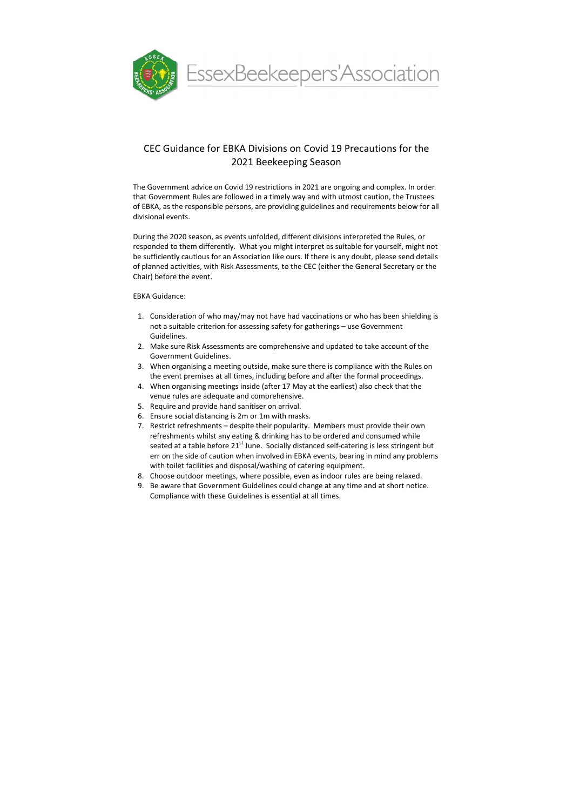

# CEC Guidance for EBKA Divisions on Covid 19 Precautions for the 2021 Beekeeping Season

The Government advice on Covid 19 restrictions in 2021 are ongoing and complex. In order that Government Rules are followed in a timely way and with utmost caution, the Trustees of EBKA, as the responsible persons, are providing guidelines and requirements below for all divisional events.

During the 2020 season, as events unfolded, different divisions interpreted the Rules, or responded to them differently. What you might interpret as suitable for yourself, might not be sufficiently cautious for an Association like ours. If there is any doubt, please send details of planned activities, with Risk Assessments, to the CEC (either the General Secretary or the Chair) before the event.

#### EBKA Guidance:

- 1. Consideration of who may/may not have had vaccinations or who has been shielding is not a suitable criterion for assessing safety for gatherings – use Government Guidelines.
- 2. Make sure Risk Assessments are comprehensive and updated to take account of the Government Guidelines.
- 3. When organising a meeting outside, make sure there is compliance with the Rules on the event premises at all times, including before and after the formal proceedings.
- 4. When organising meetings inside (after 17 May at the earliest) also check that the venue rules are adequate and comprehensive.
- 5. Require and provide hand sanitiser on arrival.
- 6. Ensure social distancing is 2m or 1m with masks.
- 7. Restrict refreshments despite their popularity. Members must provide their own refreshments whilst any eating & drinking has to be ordered and consumed while seated at a table before 21<sup>st</sup> June. Socially distanced self-catering is less stringent but err on the side of caution when involved in EBKA events, bearing in mind any problems with toilet facilities and disposal/washing of catering equipment.
- 8. Choose outdoor meetings, where possible, even as indoor rules are being relaxed.
- 9. Be aware that Government Guidelines could change at any time and at short notice. Compliance with these Guidelines is essential at all times.